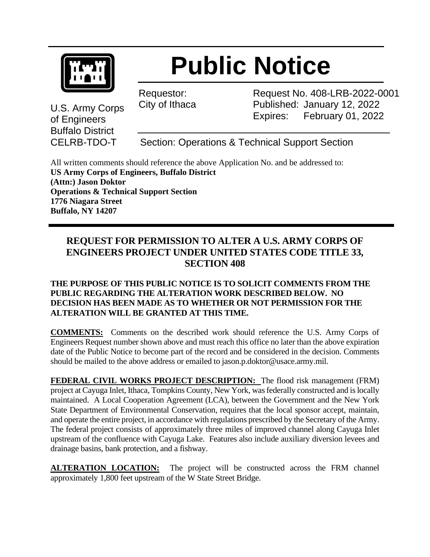

U.S. Army Corps

of Engineers Buffalo District

## **Public Notice**

Requestor: City of Ithaca Request No. 408-LRB-2022-0001 Published: January 12, 2022 Expires: February 01, 2022

CELRB-TDO-T Section: Operations & Technical Support Section

All written comments should reference the above Application No. and be addressed to: **US Army Corps of Engineers, Buffalo District (Attn:) Jason Doktor Operations & Technical Support Section 1776 Niagara Street Buffalo, NY 14207**

## **REQUEST FOR PERMISSION TO ALTER A U.S. ARMY CORPS OF ENGINEERS PROJECT UNDER UNITED STATES CODE TITLE 33, SECTION 408**

## **THE PURPOSE OF THIS PUBLIC NOTICE IS TO SOLICIT COMMENTS FROM THE PUBLIC REGARDING THE ALTERATION WORK DESCRIBED BELOW. NO DECISION HAS BEEN MADE AS TO WHETHER OR NOT PERMISSION FOR THE ALTERATION WILL BE GRANTED AT THIS TIME.**

**COMMENTS:** Comments on the described work should reference the U.S. Army Corps of Engineers Request number shown above and must reach this office no later than the above expiration date of the Public Notice to become part of the record and be considered in the decision. Comments should be mailed to the above address or emailed to jason.p.doktor@usace.army.mil.

**FEDERAL CIVIL WORKS PROJECT DESCRIPTION:** The flood risk management (FRM) project at Cayuga Inlet, Ithaca, Tompkins County, New York, was federally constructed and is locally maintained. A Local Cooperation Agreement (LCA), between the Government and the New York State Department of Environmental Conservation, requires that the local sponsor accept, maintain, and operate the entire project, in accordance with regulations prescribed by the Secretary of the Army. The federal project consists of approximately three miles of improved channel along Cayuga Inlet upstream of the confluence with Cayuga Lake. Features also include auxiliary diversion levees and drainage basins, bank protection, and a fishway.

**ALTERATION LOCATION:** The project will be constructed across the FRM channel approximately 1,800 feet upstream of the W State Street Bridge.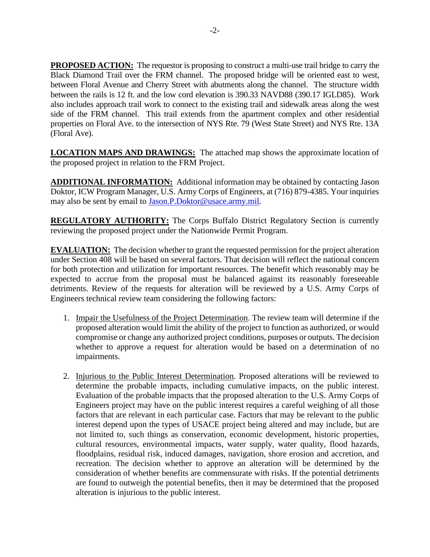**PROPOSED ACTION:** The requestor is proposing to construct a multi-use trail bridge to carry the Black Diamond Trail over the FRM channel. The proposed bridge will be oriented east to west, between Floral Avenue and Cherry Street with abutments along the channel. The structure width between the rails is 12 ft. and the low cord elevation is 390.33 NAVD88 (390.17 IGLD85). Work also includes approach trail work to connect to the existing trail and sidewalk areas along the west side of the FRM channel. This trail extends from the apartment complex and other residential properties on Floral Ave. to the intersection of NYS Rte. 79 (West State Street) and NYS Rte. 13A (Floral Ave).

**LOCATION MAPS AND DRAWINGS:** The attached map shows the approximate location of the proposed project in relation to the FRM Project.

**ADDITIONAL INFORMATION:** Additional information may be obtained by contacting Jason Doktor, ICW Program Manager, U.S. Army Corps of Engineers, at (716) 879-4385. Your inquiries may also be sent by email to [Jason.P.Doktor@usace.army.mil.](mailto:Jason.P.Doktor@usace.army.mil)

**REGULATORY AUTHORITY:** The Corps Buffalo District Regulatory Section is currently reviewing the proposed project under the Nationwide Permit Program.

**EVALUATION:** The decision whether to grant the requested permission for the project alteration under Section 408 will be based on several factors. That decision will reflect the national concern for both protection and utilization for important resources. The benefit which reasonably may be expected to accrue from the proposal must be balanced against its reasonably foreseeable detriments. Review of the requests for alteration will be reviewed by a U.S. Army Corps of Engineers technical review team considering the following factors:

- 1. Impair the Usefulness of the Project Determination. The review team will determine if the proposed alteration would limit the ability of the project to function as authorized, or would compromise or change any authorized project conditions, purposes or outputs. The decision whether to approve a request for alteration would be based on a determination of no impairments.
- 2. Injurious to the Public Interest Determination. Proposed alterations will be reviewed to determine the probable impacts, including cumulative impacts, on the public interest. Evaluation of the probable impacts that the proposed alteration to the U.S. Army Corps of Engineers project may have on the public interest requires a careful weighing of all those factors that are relevant in each particular case. Factors that may be relevant to the public interest depend upon the types of USACE project being altered and may include, but are not limited to, such things as conservation, economic development, historic properties, cultural resources, environmental impacts, water supply, water quality, flood hazards, floodplains, residual risk, induced damages, navigation, shore erosion and accretion, and recreation. The decision whether to approve an alteration will be determined by the consideration of whether benefits are commensurate with risks. If the potential detriments are found to outweigh the potential benefits, then it may be determined that the proposed alteration is injurious to the public interest.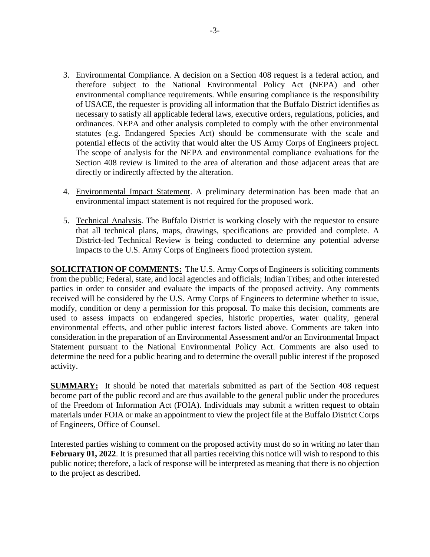- 3. Environmental Compliance. A decision on a Section 408 request is a federal action, and therefore subject to the National Environmental Policy Act (NEPA) and other environmental compliance requirements. While ensuring compliance is the responsibility of USACE, the requester is providing all information that the Buffalo District identifies as necessary to satisfy all applicable federal laws, executive orders, regulations, policies, and ordinances. NEPA and other analysis completed to comply with the other environmental statutes (e.g. Endangered Species Act) should be commensurate with the scale and potential effects of the activity that would alter the US Army Corps of Engineers project. The scope of analysis for the NEPA and environmental compliance evaluations for the Section 408 review is limited to the area of alteration and those adjacent areas that are directly or indirectly affected by the alteration.
- 4. Environmental Impact Statement. A preliminary determination has been made that an environmental impact statement is not required for the proposed work.
- 5. Technical Analysis. The Buffalo District is working closely with the requestor to ensure that all technical plans, maps, drawings, specifications are provided and complete. A District-led Technical Review is being conducted to determine any potential adverse impacts to the U.S. Army Corps of Engineers flood protection system.

**SOLICITATION OF COMMENTS:** The U.S. Army Corps of Engineers is soliciting comments from the public; Federal, state, and local agencies and officials; Indian Tribes; and other interested parties in order to consider and evaluate the impacts of the proposed activity. Any comments received will be considered by the U.S. Army Corps of Engineers to determine whether to issue, modify, condition or deny a permission for this proposal. To make this decision, comments are used to assess impacts on endangered species, historic properties, water quality, general environmental effects, and other public interest factors listed above. Comments are taken into consideration in the preparation of an Environmental Assessment and/or an Environmental Impact Statement pursuant to the National Environmental Policy Act. Comments are also used to determine the need for a public hearing and to determine the overall public interest if the proposed activity.

**SUMMARY:** It should be noted that materials submitted as part of the Section 408 request become part of the public record and are thus available to the general public under the procedures of the Freedom of Information Act (FOIA). Individuals may submit a written request to obtain materials under FOIA or make an appointment to view the project file at the Buffalo District Corps of Engineers, Office of Counsel.

Interested parties wishing to comment on the proposed activity must do so in writing no later than **February 01, 2022**. It is presumed that all parties receiving this notice will wish to respond to this public notice; therefore, a lack of response will be interpreted as meaning that there is no objection to the project as described.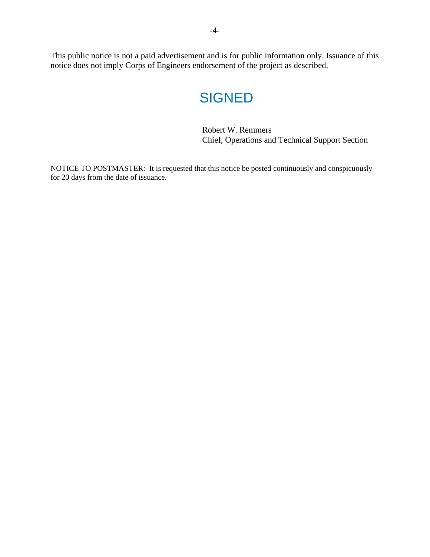This public notice is not a paid advertisement and is for public information only. Issuance of this notice does not imply Corps of Engineers endorsement of the project as described.

## **SIGNED**

Robert W. Remmers Chief, Operations and Technical Support Section

NOTICE TO POSTMASTER: It is requested that this notice be posted continuously and conspicuously for 20 days from the date of issuance.